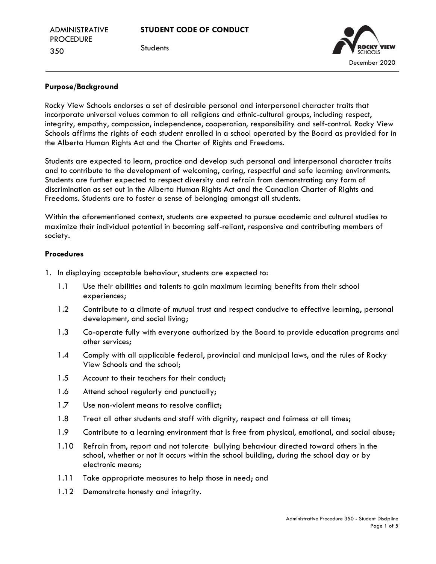

## **Purpose/Background**

Rocky View Schools endorses a set of desirable personal and interpersonal character traits that incorporate universal values common to all religions and ethnic-cultural groups, including respect, integrity, empathy, compassion, independence, cooperation, responsibility and self-control. Rocky View Schools affirms the rights of each student enrolled in a school operated by the Board as provided for in the Alberta Human Rights Act and the Charter of Rights and Freedoms.

Students are expected to learn, practice and develop such personal and interpersonal character traits and to contribute to the development of welcoming, caring, respectful and safe learning environments. Students are further expected to respect diversity and refrain from demonstrating any form of discrimination as set out in the Alberta Human Rights Act and the Canadian Charter of Rights and Freedoms. Students are to foster a sense of belonging amongst all students.

Within the aforementioned context, students are expected to pursue academic and cultural studies to maximize their individual potential in becoming self-reliant, responsive and contributing members of society.

### **Procedures**

- 1. In displaying acceptable behaviour, students are expected to:
	- 1.1 Use their abilities and talents to gain maximum learning benefits from their school experiences;
	- 1.2 Contribute to a climate of mutual trust and respect conducive to effective learning, personal development, and social living;
	- 1.3 Co-operate fully with everyone authorized by the Board to provide education programs and other services;
	- 1.4 Comply with all applicable federal, provincial and municipal laws, and the rules of Rocky View Schools and the school;
	- 1.5 Account to their teachers for their conduct;
	- 1.6 Attend school regularly and punctually;
	- 1.7 Use non-violent means to resolve conflict;
	- 1.8 Treat all other students and staff with dignity, respect and fairness at all times;
	- 1.9 Contribute to a learning environment that is free from physical, emotional, and social abuse;
	- 1.10 Refrain from, report and not tolerate bullying behaviour directed toward others in the school, whether or not it occurs within the school building, during the school day or by electronic means;
	- 1.11 Take appropriate measures to help those in need; and
	- 1.12 Demonstrate honesty and integrity.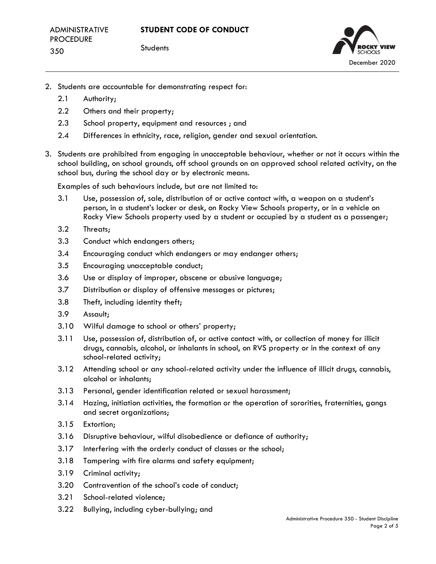

- 2. Students are accountable for demonstrating respect for:
	- 2.1 Authority;
	- 2.2 Others and their property;
	- 2.3 School property, equipment and resources ; and
	- 2.4 Differences in ethnicity, race, religion, gender and sexual orientation.
- 3. Students are prohibited from engaging in unacceptable behaviour, whether or not it occurs within the school building, on school grounds, off school grounds on an approved school related activity, on the school bus, during the school day or by electronic means.

Examples of such behaviours include, but are not limited to:

- 3.1 Use, possession of, sale, distribution of or active contact with, a weapon on a student's person, in a student's locker or desk, on Rocky View Schools property, or in a vehicle on Rocky View Schools property used by a student or occupied by a student as a passenger;
- 3.2 Threats;
- 3.3 Conduct which endangers others;
- 3.4 Encouraging conduct which endangers or may endanger others;
- 3.5 Encouraging unacceptable conduct;
- 3.6 Use or display of improper, obscene or abusive language;
- 3.7 Distribution or display of offensive messages or pictures;
- 3.8 Theft, including identity theft;
- 3.9 Assault;
- 3.10 Wilful damage to school or others' property;
- 3.11 Use, possession of, distribution of, or active contact with, or collection of money for illicit drugs, cannabis, alcohol, or inhalants in school, on RVS property or in the context of any school-related activity;
- 3.12 Attending school or any school-related activity under the influence of illicit drugs, cannabis, alcohol or inhalants;
- 3.13 Personal, gender identification related or sexual harassment;
- 3.14 Hazing, initiation activities, the formation or the operation of sororities, fraternities, gangs and secret organizations;
- 3.15 Extortion;
- 3.16 Disruptive behaviour, wilful disobedience or defiance of authority;
- 3.17 Interfering with the orderly conduct of classes or the school;
- 3.18 Tampering with fire alarms and safety equipment;
- 3.19 Criminal activity;
- 3.20 Contravention of the school's code of conduct;
- 3.21 School-related violence;
- 3.22 Bullying, including cyber-bullying; and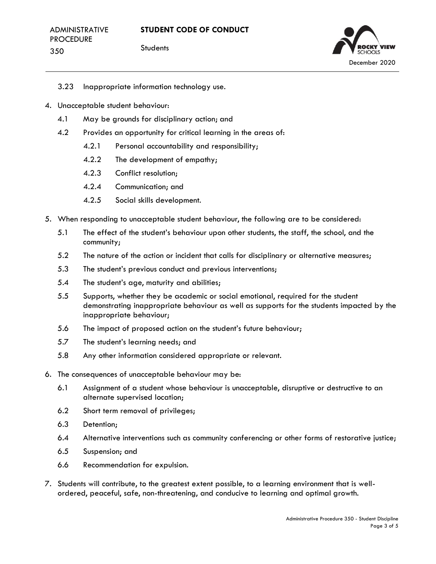

- 3.23 Inappropriate information technology use.
- 4. Unacceptable student behaviour:
	- 4.1 May be grounds for disciplinary action; and
	- 4.2 Provides an opportunity for critical learning in the areas of:
		- 4.2.1 Personal accountability and responsibility;
		- 4.2.2 The development of empathy;
		- 4.2.3 Conflict resolution;
		- 4.2.4 Communication; and
		- 4.2.5 Social skills development.
- 5. When responding to unacceptable student behaviour, the following are to be considered:
	- 5.1 The effect of the student's behaviour upon other students, the staff, the school, and the community;
	- 5.2 The nature of the action or incident that calls for disciplinary or alternative measures;
	- 5.3 The student's previous conduct and previous interventions;
	- 5.4 The student's age, maturity and abilities;
	- 5.5 Supports, whether they be academic or social emotional, required for the student demonstrating inappropriate behaviour as well as supports for the students impacted by the inappropriate behaviour;
	- 5.6 The impact of proposed action on the student's future behaviour;
	- 5.7 The student's learning needs; and
	- 5.8 Any other information considered appropriate or relevant.
- 6. The consequences of unacceptable behaviour may be:
	- 6.1 Assignment of a student whose behaviour is unacceptable, disruptive or destructive to an alternate supervised location;
	- 6.2 Short term removal of privileges;
	- 6.3 Detention;
	- 6.4 Alternative interventions such as community conferencing or other forms of restorative justice;
	- 6.5 Suspension; and
	- 6.6 Recommendation for expulsion.
- 7. Students will contribute, to the greatest extent possible, to a learning environment that is wellordered, peaceful, safe, non-threatening, and conducive to learning and optimal growth.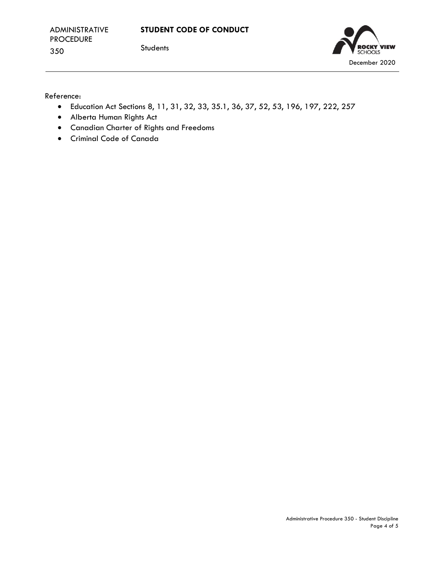

Reference:

- Education Act Sections 8, 11, 31, 32, 33, 35.1, 36, 37, 52, 53, 196, 197, 222, 257
- Alberta Human Rights Act
- Canadian Charter of Rights and Freedoms
- Criminal Code of Canada